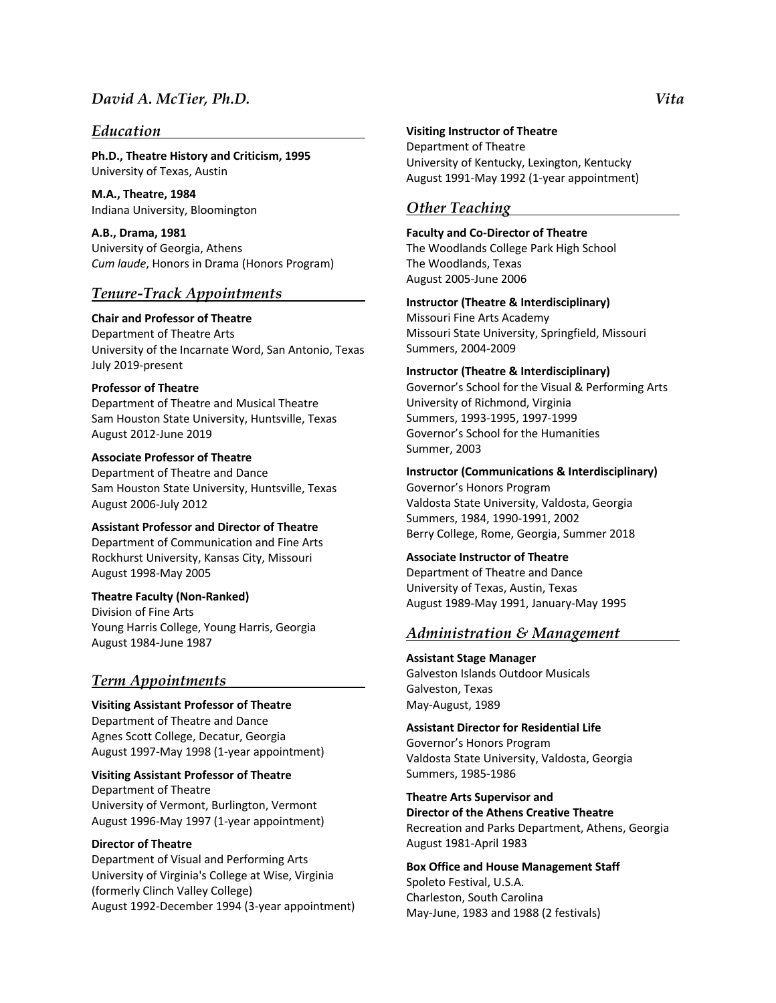### *Education*

**Ph.D., Theatre History and Criticism, 1995** University of Texas, Austin

**M.A., Theatre, 1984** Indiana University, Bloomington

**A.B., Drama, 1981** University of Georgia, Athens *Cum laude*, Honors in Drama (Honors Program)

### *Tenure-Track Appointments*

**Chair and Professor of Theatre** Department of Theatre Arts University of the Incarnate Word, San Antonio, Texas July 2019-present

#### **Professor of Theatre**

Department of Theatre and Musical Theatre Sam Houston State University, Huntsville, Texas August 2012-June 2019

**Associate Professor of Theatre**

Department of Theatre and Dance Sam Houston State University, Huntsville, Texas August 2006-July 2012

**Assistant Professor and Director of Theatre**

Department of Communication and Fine Arts Rockhurst University, Kansas City, Missouri August 1998-May 2005

#### **Theatre Faculty (Non-Ranked)**

Division of Fine Arts Young Harris College, Young Harris, Georgia August 1984-June 1987

#### *Term Appointments*

**Visiting Assistant Professor of Theatre** Department of Theatre and Dance Agnes Scott College, Decatur, Georgia August 1997-May 1998 (1-year appointment)

# **Visiting Assistant Professor of Theatre**

Department of Theatre University of Vermont, Burlington, Vermont August 1996-May 1997 (1-year appointment)

#### **Director of Theatre**

Department of Visual and Performing Arts University of Virginia's College at Wise, Virginia (formerly Clinch Valley College) August 1992-December 1994 (3-year appointment)

#### **Visiting Instructor of Theatre**

Department of Theatre University of Kentucky, Lexington, Kentucky August 1991-May 1992 (1-year appointment)

### *Other Teaching*

**Faculty and Co-Director of Theatre** The Woodlands College Park High School

The Woodlands, Texas August 2005-June 2006

**Instructor (Theatre & Interdisciplinary)** Missouri Fine Arts Academy Missouri State University, Springfield, Missouri Summers, 2004-2009

#### **Instructor (Theatre & Interdisciplinary)**

Governor's School for the Visual & Performing Arts University of Richmond, Virginia Summers, 1993-1995, 1997-1999 Governor's School for the Humanities Summer, 2003

**Instructor (Communications & Interdisciplinary)**

Governor's Honors Program Valdosta State University, Valdosta, Georgia Summers, 1984, 1990-1991, 2002 Berry College, Rome, Georgia, Summer 2018

**Associate Instructor of Theatre**

Department of Theatre and Dance University of Texas, Austin, Texas August 1989-May 1991, January-May 1995

### *Administration & Management*

**Assistant Stage Manager** Galveston Islands Outdoor Musicals Galveston, Texas May-August, 1989

**Assistant Director for Residential Life** Governor's Honors Program Valdosta State University, Valdosta, Georgia Summers, 1985-1986

**Theatre Arts Supervisor and Director of the Athens Creative Theatre**  Recreation and Parks Department, Athens, Georgia August 1981-April 1983

**Box Office and House Management Staff** Spoleto Festival, U.S.A. Charleston, South Carolina May-June, 1983 and 1988 (2 festivals)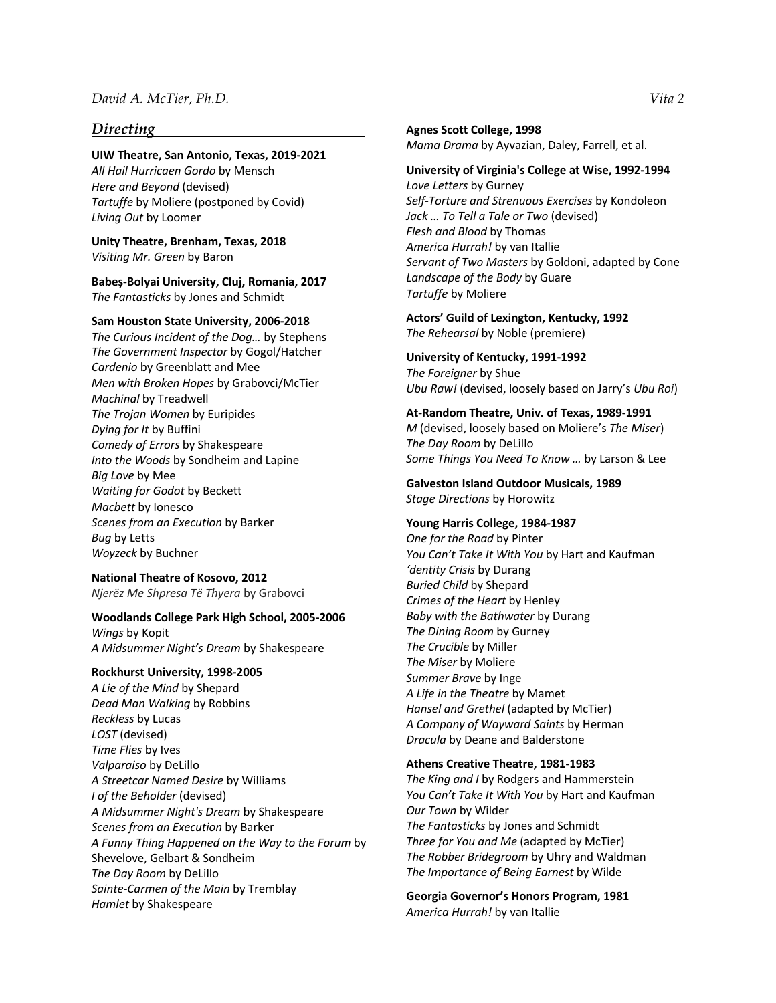### *Directing*

#### **UIW Theatre, San Antonio, Texas, 2019-2021**

*All Hail Hurricaen Gordo* by Mensch *Here and Beyond* (devised) *Tartuffe* by Moliere (postponed by Covid) *Living Out* by Loomer

**Unity Theatre, Brenham, Texas, 2018** *Visiting Mr. Green* by Baron

**Babeș-Bolyai University, Cluj, Romania, 2017** *The Fantasticks* by Jones and Schmidt

#### **Sam Houston State University, 2006-2018**

*The Curious Incident of the Dog…* by Stephens *The Government Inspector* by Gogol/Hatcher *Cardenio* by Greenblatt and Mee *Men with Broken Hopes* by Grabovci/McTier *Machinal* by Treadwell *The Trojan Women* by Euripides *Dying for It* by Buffini *Comedy of Errors* by Shakespeare *Into the Woods* by Sondheim and Lapine *Big Love* by Mee *Waiting for Godot* by Beckett *Macbett* by Ionesco *Scenes from an Execution* by Barker *Bug* by Letts *Woyzeck* by Buchner

#### **National Theatre of Kosovo, 2012**

*Njerëz Me Shpresa Të Thyera* by Grabovci

#### **Woodlands College Park High School, 2005-2006**

*Wings* by Kopit *A Midsummer Night's Dream* by Shakespeare

#### **Rockhurst University, 1998-2005**

*A Lie of the Mind* by Shepard *Dead Man Walking* by Robbins *Reckless* by Lucas *LOST* (devised) *Time Flies* by Ives *Valparaiso* by DeLillo *A Streetcar Named Desire* by Williams *I of the Beholder* (devised) *A Midsummer Night's Dream* by Shakespeare *Scenes from an Execution* by Barker *A Funny Thing Happened on the Way to the Forum* by Shevelove, Gelbart & Sondheim *The Day Room* by DeLillo *Sainte-Carmen of the Main* by Tremblay *Hamlet* by Shakespeare

#### **Agnes Scott College, 1998**

*Mama Drama* by Ayvazian, Daley, Farrell, et al.

#### **University of Virginia's College at Wise, 1992-1994**  *Love Letters* by Gurney

*Self-Torture and Strenuous Exercises* by Kondoleon *Jack … To Tell a Tale or Two* (devised) *Flesh and Blood* by Thomas *America Hurrah!* by van Itallie *Servant of Two Masters* by Goldoni, adapted by Cone *Landscape of the Body* by Guare *Tartuffe* by Moliere

**Actors' Guild of Lexington, Kentucky, 1992**  *The Rehearsal* by Noble (premiere)

**University of Kentucky, 1991-1992**  *The Foreigner* by Shue *Ubu Raw!* (devised, loosely based on Jarry's *Ubu Roi*)

#### **At-Random Theatre, Univ. of Texas, 1989-1991**

*M* (devised, loosely based on Moliere's *The Miser*) *The Day Room* by DeLillo *Some Things You Need To Know …* by Larson & Lee

**Galveston Island Outdoor Musicals, 1989**  *Stage Directions* by Horowitz

#### **Young Harris College, 1984-1987**

*One for the Road* by Pinter *You Can't Take It With You* by Hart and Kaufman *'dentity Crisis* by Durang *Buried Child* by Shepard *Crimes of the Heart* by Henley *Baby with the Bathwater* by Durang *The Dining Room* by Gurney *The Crucible* by Miller *The Miser* by Moliere *Summer Brave* by Inge *A Life in the Theatre* by Mamet *Hansel and Grethel* (adapted by McTier) *A Company of Wayward Saints* by Herman *Dracula* by Deane and Balderstone

#### **Athens Creative Theatre, 1981-1983**

*The King and I* by Rodgers and Hammerstein *You Can't Take It With You* by Hart and Kaufman *Our Town* by Wilder *The Fantasticks* by Jones and Schmidt *Three for You and Me* (adapted by McTier) *The Robber Bridegroom* by Uhry and Waldman *The Importance of Being Earnest* by Wilde

**Georgia Governor's Honors Program, 1981** *America Hurrah!* by van Itallie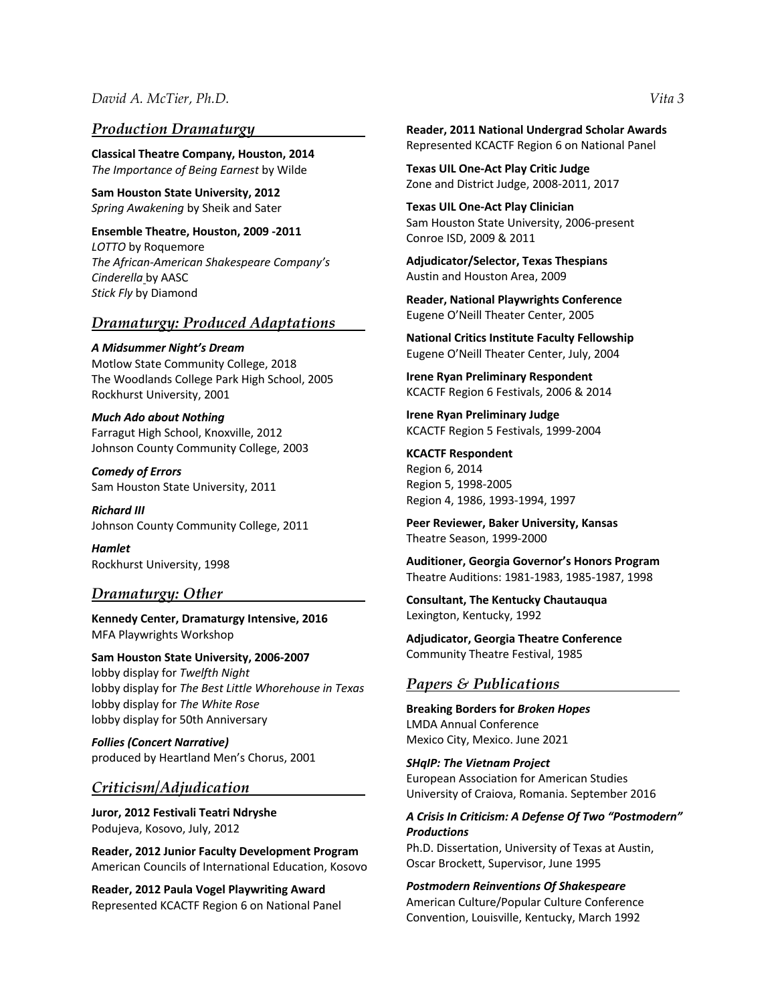### *Production Dramaturgy*

**Classical Theatre Company, Houston, 2014** *The Importance of Being Earnest* by Wilde

**Sam Houston State University, 2012**  *Spring Awakening* by Sheik and Sater

**Ensemble Theatre, Houston, 2009 -2011** *LOTTO* by Roquemore *The African-American Shakespeare Company's Cinderella* by AASC *Stick Fly* by Diamond

### *Dramaturgy: Produced Adaptations*

*A Midsummer Night's Dream*  Motlow State Community College, 2018 The Woodlands College Park High School, 2005 Rockhurst University, 2001

*Much Ado about Nothing*  Farragut High School, Knoxville, 2012 Johnson County Community College, 2003

*Comedy of Errors*  Sam Houston State University, 2011

*Richard III*  Johnson County Community College, 2011

*Hamlet*  Rockhurst University, 1998

### *Dramaturgy: Other*

**Kennedy Center, Dramaturgy Intensive, 2016** MFA Playwrights Workshop

**Sam Houston State University, 2006-2007** lobby display for *Twelfth Night* lobby display for *The Best Little Whorehouse in Texas* lobby display for *The White Rose* lobby display for 50th Anniversary

*Follies (Concert Narrative)* produced by Heartland Men's Chorus, 2001

### *Criticism/Adjudication*

**Juror, 2012 Festivali Teatri Ndryshe**  Podujeva, Kosovo, July, 2012

**Reader, 2012 Junior Faculty Development Program** American Councils of International Education, Kosovo

**Reader, 2012 Paula Vogel Playwriting Award** Represented KCACTF Region 6 on National Panel **Reader, 2011 National Undergrad Scholar Awards** Represented KCACTF Region 6 on National Panel

**Texas UIL One-Act Play Critic Judge**  Zone and District Judge, 2008-2011, 2017

**Texas UIL One-Act Play Clinician**  Sam Houston State University, 2006-present Conroe ISD, 2009 & 2011

**Adjudicator/Selector, Texas Thespians**  Austin and Houston Area, 2009

**Reader, National Playwrights Conference**  Eugene O'Neill Theater Center, 2005

**National Critics Institute Faculty Fellowship**  Eugene O'Neill Theater Center, July, 2004

**Irene Ryan Preliminary Respondent**  KCACTF Region 6 Festivals, 2006 & 2014

**Irene Ryan Preliminary Judge**  KCACTF Region 5 Festivals, 1999-2004

**KCACTF Respondent** Region 6, 2014 Region 5, 1998-2005 Region 4, 1986, 1993-1994, 1997

**Peer Reviewer, Baker University, Kansas**  Theatre Season, 1999-2000

**Auditioner, Georgia Governor's Honors Program**  Theatre Auditions: 1981-1983, 1985-1987, 1998

**Consultant, The Kentucky Chautauqua**  Lexington, Kentucky, 1992

**Adjudicator, Georgia Theatre Conference**  Community Theatre Festival, 1985

### *Papers & Publications*

**Breaking Borders for** *Broken Hopes* LMDA Annual Conference Mexico City, Mexico. June 2021

*SHqIP: The Vietnam Project* European Association for American Studies University of Craiova, Romania. September 2016

### *A Crisis In Criticism: A Defense Of Two "Postmodern" Productions*

Ph.D. Dissertation, University of Texas at Austin, Oscar Brockett, Supervisor, June 1995

*Postmodern Reinventions Of Shakespeare*  American Culture/Popular Culture Conference Convention, Louisville, Kentucky, March 1992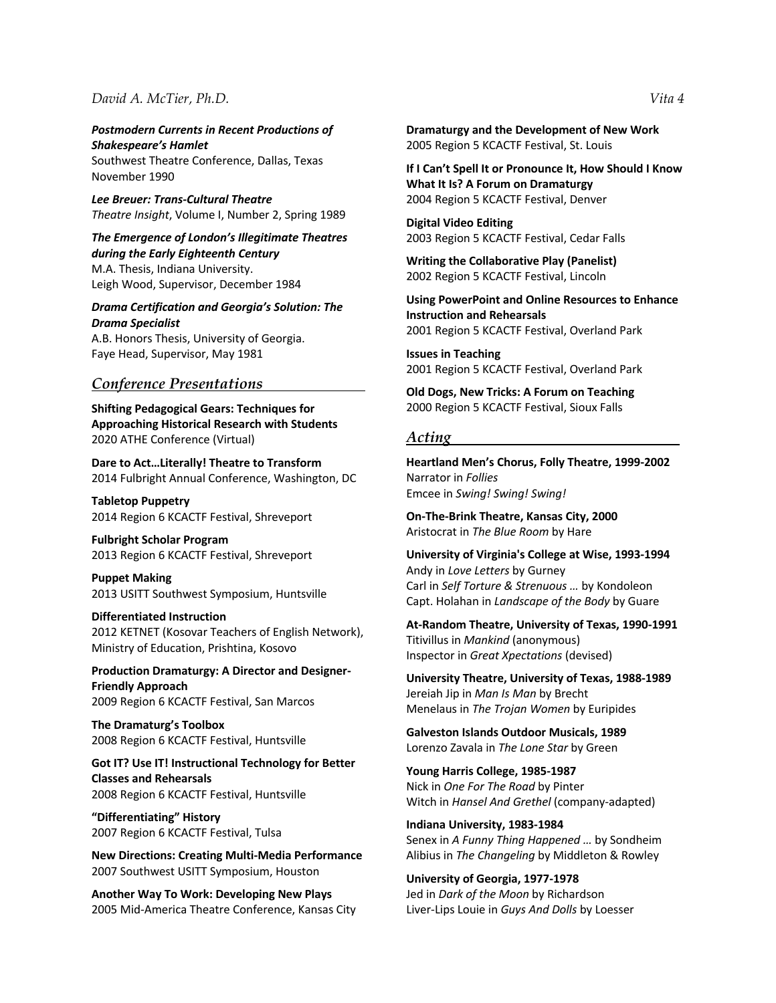*Postmodern Currents in Recent Productions of Shakespeare's Hamlet* 

Southwest Theatre Conference, Dallas, Texas November 1990

*Lee Breuer: Trans-Cultural Theatre Theatre Insight*, Volume I, Number 2, Spring 1989

*The Emergence of London's Illegitimate Theatres during the Early Eighteenth Century*  M.A. Thesis, Indiana University. Leigh Wood, Supervisor, December 1984

#### *Drama Certification and Georgia's Solution: The Drama Specialist*

A.B. Honors Thesis, University of Georgia. Faye Head, Supervisor, May 1981

#### *Conference Presentations*

**Shifting Pedagogical Gears: Techniques for Approaching Historical Research with Students** 2020 ATHE Conference (Virtual)

**Dare to Act…Literally! Theatre to Transform** 2014 Fulbright Annual Conference, Washington, DC

**Tabletop Puppetry** 2014 Region 6 KCACTF Festival, Shreveport

**Fulbright Scholar Program** 2013 Region 6 KCACTF Festival, Shreveport

**Puppet Making**  2013 USITT Southwest Symposium, Huntsville

### **Differentiated Instruction**

2012 KETNET (Kosovar Teachers of English Network), Ministry of Education, Prishtina, Kosovo

**Production Dramaturgy: A Director and Designer-Friendly Approach**  2009 Region 6 KCACTF Festival, San Marcos

**The Dramaturg's Toolbox**  2008 Region 6 KCACTF Festival, Huntsville

**Got IT? Use IT! Instructional Technology for Better Classes and Rehearsals**  2008 Region 6 KCACTF Festival, Huntsville

**"Differentiating" History**  2007 Region 6 KCACTF Festival, Tulsa

**New Directions: Creating Multi-Media Performance**  2007 Southwest USITT Symposium, Houston

**Another Way To Work: Developing New Plays**  2005 Mid-America Theatre Conference, Kansas City **Dramaturgy and the Development of New Work** 2005 Region 5 KCACTF Festival, St. Louis

**If I Can't Spell It or Pronounce It, How Should I Know What It Is? A Forum on Dramaturgy** 2004 Region 5 KCACTF Festival, Denver

**Digital Video Editing** 2003 Region 5 KCACTF Festival, Cedar Falls

**Writing the Collaborative Play (Panelist)**  2002 Region 5 KCACTF Festival, Lincoln

**Using PowerPoint and Online Resources to Enhance Instruction and Rehearsals**  2001 Region 5 KCACTF Festival, Overland Park

**Issues in Teaching**  2001 Region 5 KCACTF Festival, Overland Park

**Old Dogs, New Tricks: A Forum on Teaching**  2000 Region 5 KCACTF Festival, Sioux Falls

#### *Acting*

**Heartland Men's Chorus, Folly Theatre, 1999-2002**  Narrator in *Follies* Emcee in *Swing! Swing! Swing!*

**On-The-Brink Theatre, Kansas City, 2000**  Aristocrat in *The Blue Room* by Hare

**University of Virginia's College at Wise, 1993-1994**  Andy in *Love Letters* by Gurney Carl in *Self Torture & Strenuous …* by Kondoleon Capt. Holahan in *Landscape of the Body* by Guare

**At-Random Theatre, University of Texas, 1990-1991**  Titivillus in *Mankind* (anonymous) Inspector in *Great Xpectations* (devised)

**University Theatre, University of Texas, 1988-1989**  Jereiah Jip in *Man Is Man* by Brecht Menelaus in *The Trojan Women* by Euripides

**Galveston Islands Outdoor Musicals, 1989**  Lorenzo Zavala in *The Lone Star* by Green

**Young Harris College, 1985-1987**  Nick in *One For The Road* by Pinter Witch in *Hansel And Grethel* (company-adapted)

**Indiana University, 1983-1984**  Senex in *A Funny Thing Happened …* by Sondheim Alibius in *The Changeling* by Middleton & Rowley

**University of Georgia, 1977-1978**  Jed in *Dark of the Moon* by Richardson Liver-Lips Louie in *Guys And Dolls* by Loesser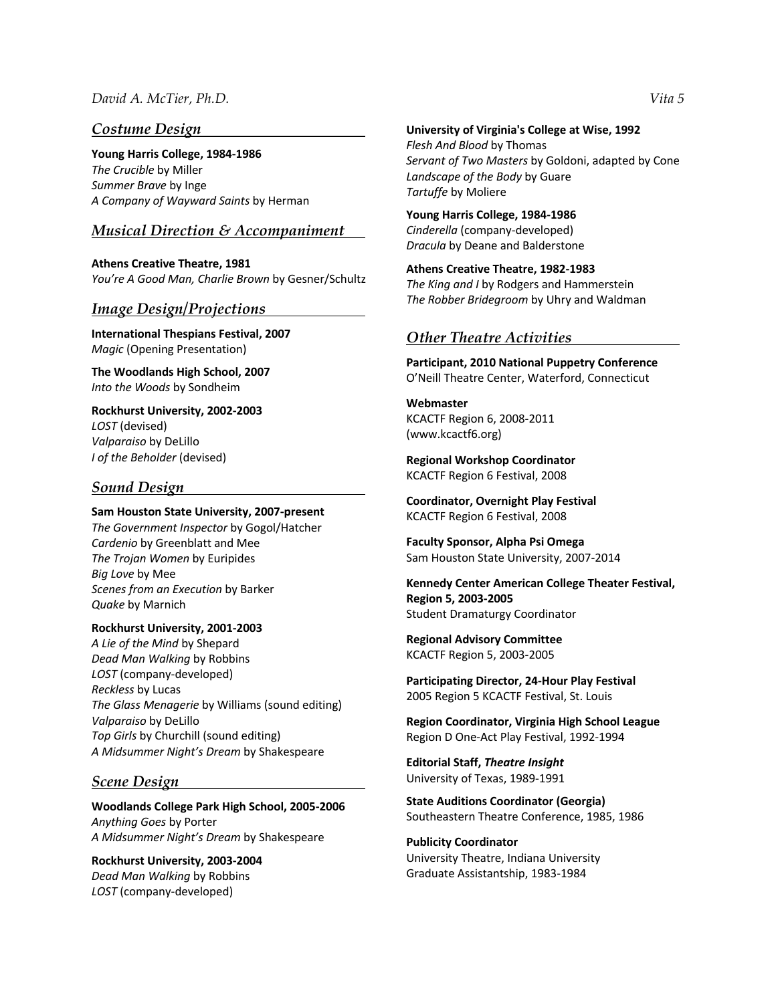### *Costume Design*

**Young Harris College, 1984-1986**  *The Crucible* by Miller *Summer Brave* by Inge *A Company of Wayward Saints* by Herman

### *Musical Direction & Accompaniment*

**Athens Creative Theatre, 1981** *You're A Good Man, Charlie Brown* by Gesner/Schultz

### *Image Design/Projections*

**International Thespians Festival, 2007**  *Magic* (Opening Presentation)

**The Woodlands High School, 2007**  *Into the Woods* by Sondheim

**Rockhurst University, 2002-2003**  *LOST* (devised) *Valparaiso* by DeLillo *I of the Beholder* (devised)

### *Sound Design*

#### **Sam Houston State University, 2007-present**

*The Government Inspector* by Gogol/Hatcher *Cardenio* by Greenblatt and Mee *The Trojan Women* by Euripides *Big Love* by Mee *Scenes from an Execution* by Barker *Quake* by Marnich

#### **Rockhurst University, 2001-2003**

*A Lie of the Mind* by Shepard *Dead Man Walking* by Robbins *LOST* (company-developed) *Reckless* by Lucas *The Glass Menagerie* by Williams (sound editing) *Valparaiso* by DeLillo *Top Girls* by Churchill (sound editing) *A Midsummer Night's Dream* by Shakespeare

### *Scene Design*

**Woodlands College Park High School, 2005-2006**  *Anything Goes* by Porter *A Midsummer Night's Dream* by Shakespeare

**Rockhurst University, 2003-2004**  *Dead Man Walking* by Robbins *LOST* (company-developed)

**University of Virginia's College at Wise, 1992**  *Flesh And Blood* by Thomas *Servant of Two Masters* by Goldoni, adapted by Cone *Landscape of the Body* by Guare *Tartuffe* by Moliere

**Young Harris College, 1984-1986**  *Cinderella* (company-developed) *Dracula* by Deane and Balderstone

**Athens Creative Theatre, 1982-1983**  *The King and I* by Rodgers and Hammerstein *The Robber Bridegroom* by Uhry and Waldman

### *Other Theatre Activities*

**Participant, 2010 National Puppetry Conference**  O'Neill Theatre Center, Waterford, Connecticut

**Webmaster**  KCACTF Region 6, 2008-2011 (www.kcactf6.org)

**Regional Workshop Coordinator** KCACTF Region 6 Festival, 2008

**Coordinator, Overnight Play Festival**  KCACTF Region 6 Festival, 2008

**Faculty Sponsor, Alpha Psi Omega**  Sam Houston State University, 2007-2014

**Kennedy Center American College Theater Festival, Region 5, 2003-2005**  Student Dramaturgy Coordinator

**Regional Advisory Committee** KCACTF Region 5, 2003-2005

**Participating Director, 24-Hour Play Festival**  2005 Region 5 KCACTF Festival, St. Louis

**Region Coordinator, Virginia High School League**  Region D One-Act Play Festival, 1992-1994

**Editorial Staff,** *Theatre Insight* University of Texas, 1989-1991

**State Auditions Coordinator (Georgia)** Southeastern Theatre Conference, 1985, 1986

**Publicity Coordinator** University Theatre, Indiana University Graduate Assistantship, 1983-1984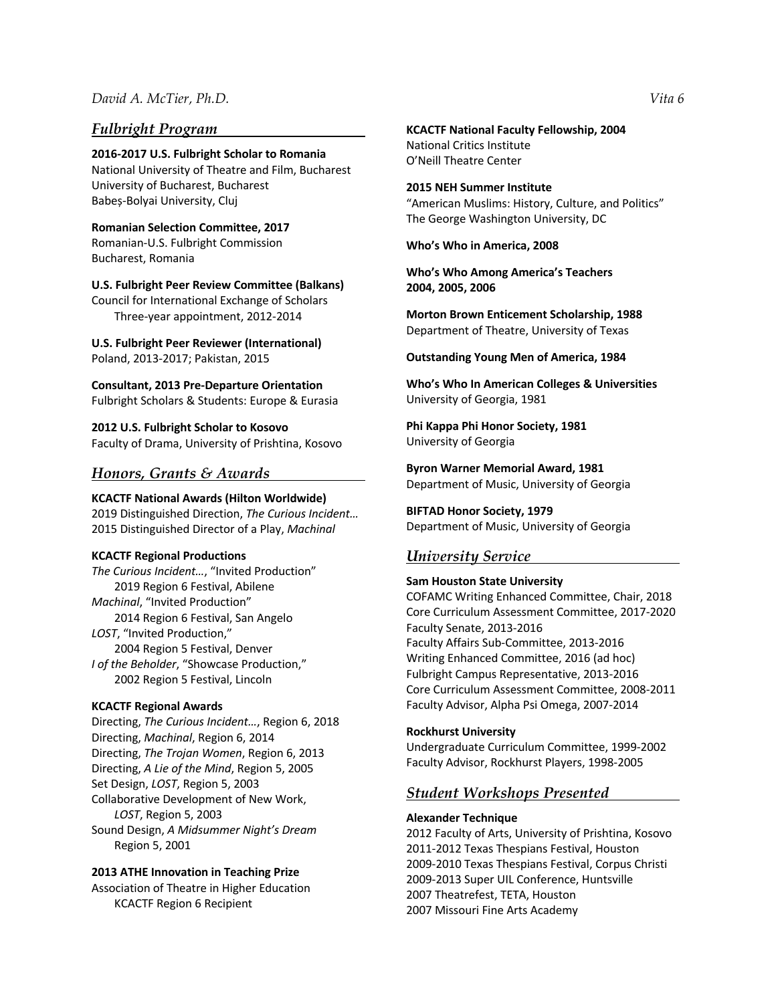### *Fulbright Program*

**2016-2017 U.S. Fulbright Scholar to Romania** National University of Theatre and Film, Bucharest University of Bucharest, Bucharest Babeș-Bolyai University, Cluj

**Romanian Selection Committee, 2017** Romanian-U.S. Fulbright Commission Bucharest, Romania

#### **U.S. Fulbright Peer Review Committee (Balkans)**

Council for International Exchange of Scholars Three-year appointment, 2012-2014

**U.S. Fulbright Peer Reviewer (International)** Poland, 2013-2017; Pakistan, 2015

**Consultant, 2013 Pre-Departure Orientation** Fulbright Scholars & Students: Europe & Eurasia

**2012 U.S. Fulbright Scholar to Kosovo** Faculty of Drama, University of Prishtina, Kosovo

### *Honors, Grants & Awards*

**KCACTF National Awards (Hilton Worldwide)** 2019 Distinguished Direction, *The Curious Incident…* 2015 Distinguished Director of a Play, *Machinal*

#### **KCACTF Regional Productions**

*The Curious Incident…*, "Invited Production" 2019 Region 6 Festival, Abilene *Machinal*, "Invited Production" 2014 Region 6 Festival, San Angelo *LOST*, "Invited Production," 2004 Region 5 Festival, Denver *I of the Beholder*, "Showcase Production," 2002 Region 5 Festival, Lincoln

#### **KCACTF Regional Awards**

Directing, *The Curious Incident…*, Region 6, 2018 Directing, *Machinal*, Region 6, 2014 Directing, *The Trojan Women*, Region 6, 2013 Directing, *A Lie of the Mind*, Region 5, 2005 Set Design, *LOST*, Region 5, 2003 Collaborative Development of New Work, *LOST*, Region 5, 2003 Sound Design, *A Midsummer Night's Dream* Region 5, 2001

#### **2013 ATHE Innovation in Teaching Prize**

Association of Theatre in Higher Education KCACTF Region 6 Recipient

**KCACTF National Faculty Fellowship, 2004** National Critics Institute O'Neill Theatre Center

**2015 NEH Summer Institute** "American Muslims: History, Culture, and Politics" The George Washington University, DC

**Who's Who in America, 2008** 

**Who's Who Among America's Teachers 2004, 2005, 2006** 

**Morton Brown Enticement Scholarship, 1988**  Department of Theatre, University of Texas

**Outstanding Young Men of America, 1984** 

**Who's Who In American Colleges & Universities** University of Georgia, 1981

**Phi Kappa Phi Honor Society, 1981**  University of Georgia

**Byron Warner Memorial Award, 1981** Department of Music, University of Georgia

**BIFTAD Honor Society, 1979** Department of Music, University of Georgia

### *University Service*

### **Sam Houston State University** COFAMC Writing Enhanced Committee, Chair, 2018 Core Curriculum Assessment Committee, 2017-2020 Faculty Senate, 2013-2016 Faculty Affairs Sub-Committee, 2013-2016 Writing Enhanced Committee, 2016 (ad hoc) Fulbright Campus Representative, 2013-2016 Core Curriculum Assessment Committee, 2008-2011 Faculty Advisor, Alpha Psi Omega, 2007-2014

#### **Rockhurst University**

Undergraduate Curriculum Committee, 1999-2002 Faculty Advisor, Rockhurst Players, 1998-2005

### *Student Workshops Presented*

#### **Alexander Technique**

2012 Faculty of Arts, University of Prishtina, Kosovo 2011-2012 Texas Thespians Festival, Houston 2009-2010 Texas Thespians Festival, Corpus Christi 2009-2013 Super UIL Conference, Huntsville 2007 Theatrefest, TETA, Houston 2007 Missouri Fine Arts Academy